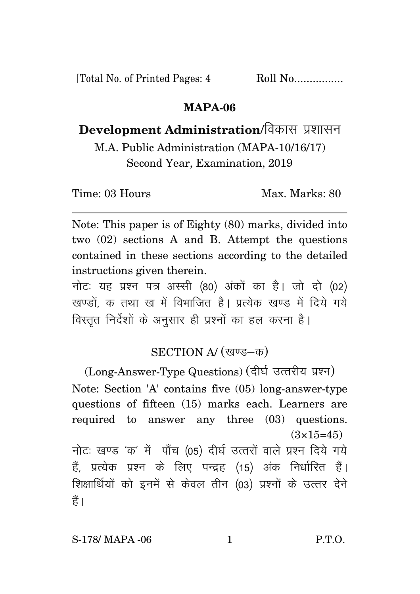[Total No. of Printed Pages: 4 Roll No.................

### **MAPA-06**

# Development Administration/विकास प्रशासन

M.A. Public Administration (MAPA-10/16/17) Second Year, Examination, 2019

Time: 03 Hours Max. Marks: 80

Note: This paper is of Eighty (80) marks, divided into two (02) sections A and B. Attempt the questions contained in these sections according to the detailed instructions given therein.

नोट: यह प्रश्न पत्र अस्सी (80) अंकों का है। जो दो (02) खण्डों क तथा ख में विभाजित है। प्रत्येक खण्ड में दिये गये विस्तृत निर्देशों के अनुसार ही प्रश्नों का हल करना है।

## SECTION A/ (खण्ड-क)

(Long-Answer-Type Questions) (दीर्घ उत्तरीय प्रश्न) Note: Section 'A' contains five (05) long-answer-type questions of fifteen (15) marks each. Learners are required to answer any three (03) questions.  $(3\times15=45)$ 

नोटः खण्ड 'क' में पाँच (05) दीर्घ उत्तरों वाले प्रश्न दिये गये हैं, प्रत्येक प्रश्न के लिए पन्द्रह (15) अंक निर्धारित हैं। शिक्षार्थियों को इनमें से केवल तीन (03) प्रश्नों के उत्तर देने हैं।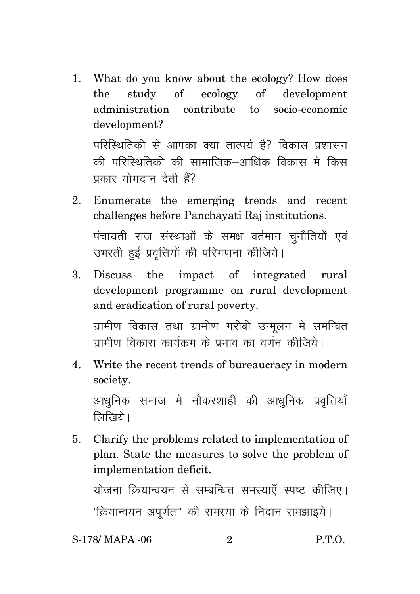1. What do you know about the ecology? How does the study of ecology of development administration contribute to socio-economic development?

परिस्थितिकी से आपका क्या तात्पर्य है? विकास प्रशासन की परिस्थितिकी की सामाजिक—आर्थिक विकास मे किस प्रकार योगदान देती हैं?

- 2. Enumerate the emerging trends and recent challenges before Panchayati Raj institutions. पंचायती राज संस्थाओं के समक्ष वर्तमान चुनौतियों एवं उभरती हुई प्रवृत्तियों की परिगणना कीजिये।
- 3. Discuss the impact of integrated rural development programme on rural development and eradication of rural poverty.

ग्रामीण विकास तथा ग्रामीण गरीबी उन्मूलन मे समन्वित <u>गामीण विकास कार्यकम के पभाव का वर्णन कीजिये।</u>

4. Write the recent trends of bureaucracy in modern society.

आधुनिक समाज मे नौकरशाही की आधुनिक प्रवृत्तियाँ  $\widehat{R}$ खिये।

5. Clarify the problems related to implementation of plan. State the measures to solve the problem of implementation deficit.

योजना क्रियान्वयन से सम्बन्धित समस्याएँ स्पष्ट कीजिए। 'क्रियान्वयन अपर्णता' की समस्या के निदान समझाइये।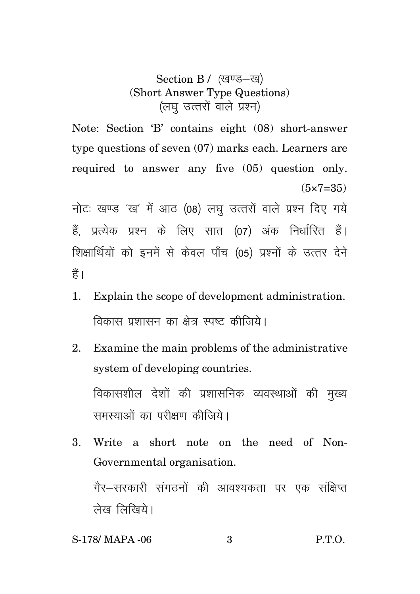## Section B / (खण्ड-ख) (Short Answer Type Questions) (लघु उत्तरों वाले प्रश्न)

Note: Section 'B' contains eight (08) short-answer type questions of seven (07) marks each. Learners are required to answer any five (05) question only.  $(5 \times 7 = 35)$ 

नोटः खण्ड 'ख' में आठ (08) लघ उत्तरों वाले प्रश्न दिए गये हैं, प्रत्येक प्रश्न के लिए सात (07) अंक निर्धारित हैं। शिक्षार्थियों को इनमें से केवल पाँच (05) प्रश्नों के उत्तर देने हैं।

- 1. Explain the scope of development administration. विकास प्रशासन का क्षेत्र स्पष्ट कीजिये।
- 2. Examine the main problems of the administrative system of developing countries. विकासशील देशों की प्रशासनिक व्यवस्थाओं की मुख्य समस्याओं का परीक्षण कीजिये।
- 3. Write a short note on the need of Non-Governmental organisation.

गैर–सरकारी संगठनों की आवश्यकता पर एक संक्षिप्त लेख लिखिये।

### S-178/ MAPA -06 3 P.T.O.